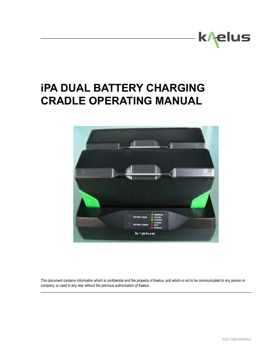

# **iPA DUAL BATTERY CHARGING CRADLE OPERATING MANUAL**



This document contains information which is confidential and the property of Kaelus, and which is not to be communicated to any person or company, or used in any way without the previous authorization of Kaelus.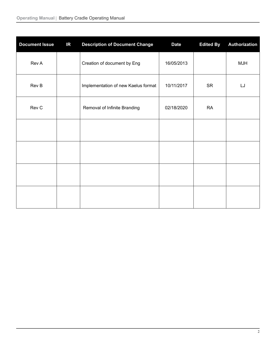| <b>Document Issue</b> | IR | <b>Description of Document Change</b> | <b>Date</b> | <b>Edited By</b> | <b>Authorization</b> |
|-----------------------|----|---------------------------------------|-------------|------------------|----------------------|
| Rev A                 |    | Creation of document by Eng           | 16/05/2013  |                  | <b>MJH</b>           |
| Rev B                 |    | Implementation of new Kaelus format   | 10/11/2017  | <b>SR</b>        | LJ                   |
| Rev C                 |    | Removal of Infinite Branding          | 02/18/2020  | <b>RA</b>        |                      |
|                       |    |                                       |             |                  |                      |
|                       |    |                                       |             |                  |                      |
|                       |    |                                       |             |                  |                      |
|                       |    |                                       |             |                  |                      |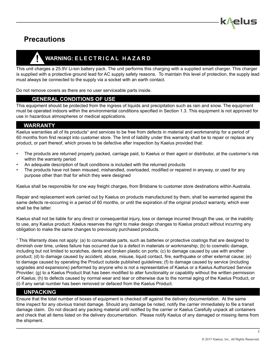

# **Precautions**

# **! WARNING: E L E C T R I C A L H A Z A R D**

This unit charges a 25.9V Li-ion battery pack. The unit performs this charging with a supplied smart charger. This charger is supplied with a protective ground lead for AC supply safety reasons. To maintain this level of protection, the supply lead must always be connected to the supply via a socket with an earth contact.

Do not remove covers as there are no user serviceable parts inside.

#### **GENERAL CONDITIONS OF USE**

This equipment should be protected from the ingress of liquids and precipitation such as rain and snow. The equipment must be operated indoors within the environmental conditions specified in Section 1.3. This equipment is not approved for use in hazardous atmospheres or medical applications.

#### **WARRANTY**

Kaelus warranties all of its products<sup>1</sup> and services to be free from defects in material and workmanship for a period of 60 months from first receipt into customer store. The limit of liability under this warranty shall be to repair or replace any product, or part thereof, which proves to be defective after inspection by Kaelus provided that:

- The products are returned properly packed, carriage paid, to Kaelus or their agent or distributor, at the customer's risk within the warranty period
- An adequate description of fault conditions is included with the returned products
- The products have not been misused, mishandled, overloaded, modified or repaired in anyway, or used for any purpose other than that for which they were designed

Kaelus shall be responsible for one way freight charges, from Brisbane to customer store destinations within Australia.

Repair and replacement work carried out by Kaelus on products manufactured by them, shall be warranted against the same defects re-occurring in a period of 60 months, or until the expiration of the original product warranty, which ever shall be the latter.

Kaelus shall not be liable for any direct or consequential injury, loss or damage incurred through the use, or the inability to use, any Kaelus product. Kaelus reserves the right to make design changes to Kaelus product without incurring any obligation to make the same changes to previously purchased products.

<sup>1</sup> This Warranty does not apply: (a) to consumable parts, such as batteries or protective coatings that are designed to diminish over time, unless failure has occurred due to a defect in materials or workmanship; (b) to cosmetic damage, including but not limited to scratches, dents and broken plastic on ports; (c) to damage caused by use with another product; (d) to damage caused by accident, abuse, misuse, liquid contact, fire, earthquake or other external cause; (e) to damage caused by operating the Product outside published guidelines; (f) to damage caused by service (including upgrades and expansions) performed by anyone who is not a representative of Kaelus or a Kaelus Authorized Service Provider; (g) to a Kaelus Product that has been modified to alter functionality or capability without the written permission of Kaelus; (h) to defects caused by normal wear and tear or otherwise due to the normal aging of the Kaelus Product, or (i) if any serial number has been removed or defaced from the Kaelus Product.

#### **UNPACKING**

Ensure that the total number of boxes of equipment is checked off against the delivery documentation. At the same time inspect for any obvious transit damage. Should any damage be noted, notify the carrier immediately to file a transit damage claim. Do not discard any packing material until notified by the carrier or Kaelus Carefully unpack all containers and check that all items listed on the delivery documentation. Please notify Kaelus of any damaged or missing items from the shipment.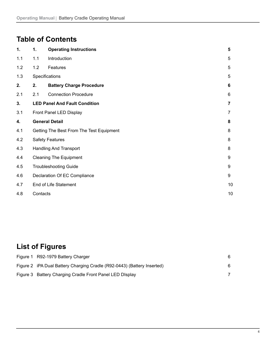# **Table of Contents**

| 1.  | 1.                            | <b>Operating Instructions</b>            | 5              |
|-----|-------------------------------|------------------------------------------|----------------|
| 1.1 | 1.1                           | Introduction                             | 5              |
| 1.2 | 1.2                           | Features                                 | 5              |
| 1.3 |                               | Specifications                           | 5              |
| 2.  | 2.                            | <b>Battery Charge Procedure</b>          | 6              |
| 2.1 | 2.1                           | <b>Connection Procedure</b>              | 6              |
| 3.  |                               | <b>LED Panel And Fault Condition</b>     | $\overline{7}$ |
| 3.1 |                               | Front Panel LED Display                  | $\overline{7}$ |
| 4.  | <b>General Detail</b>         |                                          | 8              |
| 4.1 |                               | Getting The Best From The Test Equipment | 8              |
| 4.2 | <b>Safety Features</b>        |                                          | 8              |
| 4.3 | <b>Handling And Transport</b> |                                          | 8              |
| 4.4 | <b>Cleaning The Equipment</b> |                                          | 9              |
| 4.5 |                               | <b>Troubleshooting Guide</b>             | 9              |
| 4.6 | Declaration Of EC Compliance  |                                          | 9              |
| 4.7 | End of Life Statement         |                                          | 10             |
| 4.8 | Contacts                      |                                          | 10             |

# **List of Figures**

| Figure 1 R92-1979 Battery Charger                                       |    |
|-------------------------------------------------------------------------|----|
| Figure 2 iPA Dual Battery Charging Cradle (R92-0443) (Battery Inserted) | 6. |
| Figure 3 Battery Charging Cradle Front Panel LED DIsplay                |    |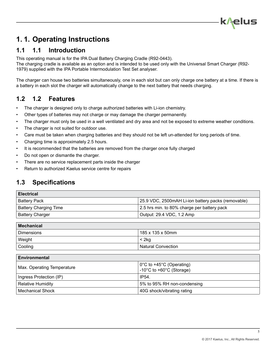# <span id="page-4-0"></span>**1. 1. Operating Instructions**

## **1.1 1.1 Introduction**

This operating manual is for the IPA Dual Battery Charging Cradle (R92-0443).

The charging cradle is available as an option and is intended to be used only with the Universal Smart Charger (R92- 1979) supplied with the IPA Portable Intermodulation Test Set analyser.

The charger can house two batteries simultaneously, one in each slot but can only charge one battery at a time. If there is a battery in each slot the charger will automatically change to the next battery that needs charging.

### **1.2 1.2 Features**

- The charger is designed only to charge authorized batteries with Li-ion chemistry.
- Other types of batteries may not charge or may damage the charger permanently.
- The charger must only be used in a well ventilated and dry area and not be exposed to extreme weather conditions.
- The charger is not suited for outdoor use.
- Care must be taken when charging batteries and they should not be left un-attended for long periods of time.
- Charging time is approximately 2.5 hours.
- It is recommended that the batteries are removed from the charger once fully charged
- Do not open or dismantle the charger.
- There are no service replacement parts inside the charger
- Return to authorized Kaelus service centre for repairs

### **1.3 Specifications**

| <b>Electrical</b>            |                                                    |
|------------------------------|----------------------------------------------------|
| <b>Battery Pack</b>          | 25.9 VDC, 2500mAH Li-ion battery packs (removable) |
| <b>Battery Charging Time</b> | 2.5 hrs min. to 80% charge per battery pack        |
| <b>Battery Charger</b>       | Output: 29.4 VDC, 1.2 Amp                          |

| Mechanical        |                           |  |
|-------------------|---------------------------|--|
| <b>Dimensions</b> | 185 x 135 x 50mm          |  |
| Weight            | $<$ 2 $kg$                |  |
| Cooling           | <b>Natural Convection</b> |  |

| <b>Environmental</b>       |                                                                                          |  |
|----------------------------|------------------------------------------------------------------------------------------|--|
| Max. Operating Temperature | $\frac{1}{2}$ 0°C to +45°C (Operating)<br>-10 $^{\circ}$ C to +60 $^{\circ}$ C (Storage) |  |
| Ingress Protection (IP)    | IP54.                                                                                    |  |
| <b>Relative Humidity</b>   | 5% to 95% RH non-condensing                                                              |  |
| <b>Mechanical Shock</b>    | 40G shock/vibrating rating                                                               |  |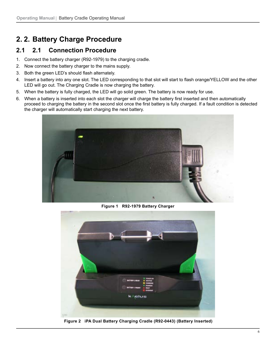# <span id="page-5-0"></span>**2. 2. Battery Charge Procedure**

# **2.1 2.1 Connection Procedure**

- 1. Connect the battery charger (R92-1979) to the charging cradle.
- 2. Now connect the battery charger to the mains supply.
- 3. Both the green LED's should flash alternately.
- 4. Insert a battery into any one slot. The LED corresponding to that slot will start to flash orange/YELLOW and the other LED will go out. The Charging Cradle is now charging the battery.
- 5. When the battery is fully charged, the LED will go solid green. The battery is now ready for use.
- 6. When a battery is inserted into each slot the charger will charge the battery first inserted and then automatically proceed to charging the battery in the second slot once the first battery is fully charged. If a fault condition is detected the charger will automatically start charging the next battery.



**Figure 1 R92-1979 Battery Charger**



**Figure 2 iPA Dual Battery Charging Cradle (R92-0443) (Battery Inserted)**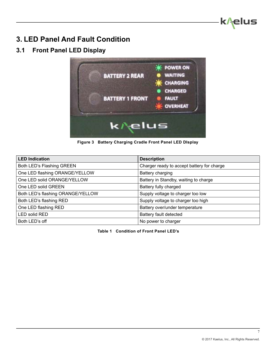

# <span id="page-6-0"></span>**3. LED Panel And Fault Condition**

# **3.1 Front Panel LED Display**



**Figure 3 Battery Charging Cradle Front Panel LED DIsplay**

| <b>LED Indication</b>             | <b>Description</b>                         |
|-----------------------------------|--------------------------------------------|
| Both LED's Flashing GREEN         | Charger ready to accept battery for charge |
| One LED flashing ORANGE/YELLOW    | Battery charging                           |
| One LED solid ORANGE/YELLOW       | Battery in Standby, waiting to charge      |
| One LED solid GREEN               | Battery fully charged                      |
| Both LED's flashing ORANGE/YELLOW | Supply voltage to charger too low          |
| Both LED's flashing RED           | Supply voltage to charger too high         |
| One LED flashing RED              | Battery over/under temperature             |
| <b>LED solid RED</b>              | Battery fault detected                     |
| Both LED's off                    | No power to charger                        |

**Table 1 Condition of Front Panel LED's**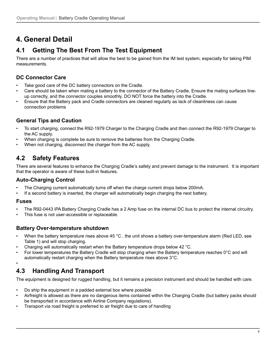# <span id="page-7-0"></span>**4. General Detail**

# **4.1 Getting The Best From The Test Equipment**

There are a number of practices that will allow the best to be gained from the IM test system, especially for taking PIM measurements.

### **DC Connector Care**

- Take good care of the DC battery connectors on the Cradle.
- Care should be taken when mating a battery to the connector of the Battery Cradle. Ensure the mating surfaces lineup correctly, and the connector couples smoothly. DO NOT force the battery into the Cradle.
- Ensure that the Battery pack and Cradle connectors are cleaned regularly as lack of cleanliness can cause connection problems

#### **General Tips and Caution**

- To start charging, connect the R92-1979 Charger to the Charging Cradle and then connect the R92-1979 Charger to the AC supply.
- When charging is complete be sure to remove the batteries from the Charging Cradle.
- When not charging, disconnect the charger from the AC supply.

# **4.2 Safety Features**

There are several features to enhance the Charging Cradle's safety and prevent damage to the instrument. It is important that the operator is aware of these built-in features.

#### **Auto-Charging Control**

- The Charging current automatically turns off when the charge current drops below 200mA.
- If a second battery is inserted, the charger will automatically begin charging the next battery.

#### **Fuses**

•

- The R92-0443 iPA Battery Charging Cradle has a 2 Amp fuse on the internal DC bus to protect the internal circuitry.
- This fuse is not user-accessible or replaceable.

#### **Battery Over-temperature shutdown**

- When the battery temperature rises above 45 °C, the unit shows a battery over-temperature alarm (Red LED, see Table 1) and will stop charging.
- Charging will automatically restart when the Battery temperature drops below 42 °C.
- For lower temperatures the Battery Cradle will stop charging when the Battery temperature reaches 0°C and will automatically restart charging when the Battery temperature rises above 3°C.

# **4.3 Handling And Transport**

The equipment is designed for rugged handling, but it remains a precision instrument and should be handled with care.

- Do ship the equipment in a padded external box where possible
- Airfreight is allowed as there are no dangerous items contained within the Charging Cradle (but battery packs should be transported in accordance with Airline Company regulations).
- Transport via road freight is preferred to air freight due to care of handling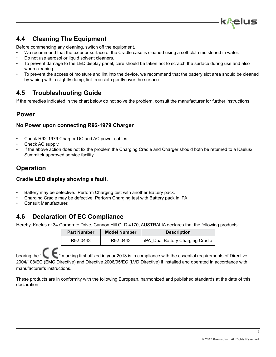

# <span id="page-8-0"></span>**4.4 Cleaning The Equipment**

Before commencing any cleaning, switch off the equipment.

- We recommend that the exterior surface of the Cradle case is cleaned using a soft cloth moistened in water.
- Do not use aerosol or liquid solvent cleaners.
- To prevent damage to the LED display panel, care should be taken not to scratch the surface during use and also when cleaning.
- To prevent the access of moisture and lint into the device, we recommend that the battery slot area should be cleaned by wiping with a slightly damp, lint-free cloth gently over the surface.

### **4.5 Troubleshooting Guide**

If the remedies indicated in the chart below do not solve the problem, consult the manufacturer for further instructions.

### **Power**

#### **No Power upon connecting R92-1979 Charger**

- Check R92-1979 Charger DC and AC power cables.
- Check AC supply.
- If the above action does not fix the problem the Charging Cradle and Charger should both be returned to a Kaelus/ Summitek approved service facility.

## **Operation**

#### **Cradle LED display showing a fault.**

- Battery may be defective. Perform Charging test with another Battery pack.
- Charging Cradle may be defective. Perform Charging test with Battery pack in iPA.
- Consult Manufacturer.

### **4.6 Declaration Of EC Compliance**

Hereby, Kaelus at 34 Corporate Drive, Cannon Hill QLD 4170, AUSTRALIA declares that the following products:

| <b>Part Number</b> | <b>Model Number</b> | <b>Description</b>               |
|--------------------|---------------------|----------------------------------|
| R92-0443           | R92-0443            | iPA Dual Battery Charging Cradle |

bearing the "  $\epsilon$  " marking first affixed in year 2013 is in compliance with the essential requirements of Directive 2004/108/EC (EMC Directive) and Directive 2006/95/EC (LVD Directive) if installed and operated in accordance with manufacturer's instructions.

These products are in conformity with the following European, harmonized and published standards at the date of this declaration